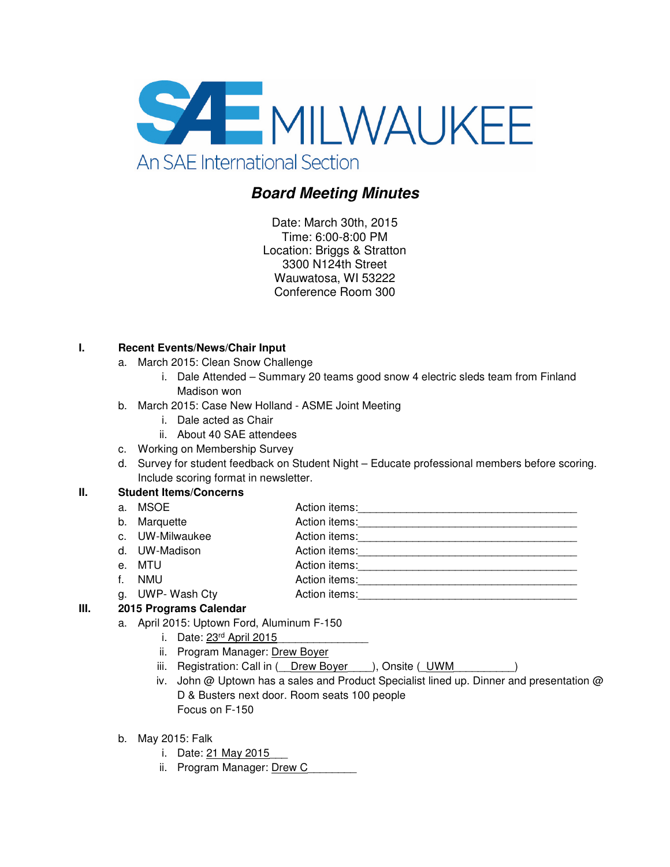

# **Board Meeting Minutes**

Date: March 30th, 2015 Time: 6:00-8:00 PM Location: Briggs & Stratton 3300 N124th Street Wauwatosa, WI 53222 Conference Room 300

## **I. Recent Events/News/Chair Input**

- a. March 2015: Clean Snow Challenge
	- i. Dale Attended Summary 20 teams good snow 4 electric sleds team from Finland Madison won
- b. March 2015: Case New Holland ASME Joint Meeting
	- i. Dale acted as Chair
	- ii. About 40 SAE attendees
- c. Working on Membership Survey
- d. Survey for student feedback on Student Night Educate professional members before scoring. Include scoring format in newsletter.

## **II. Student Items/Concerns**

| a.          | MSOE            | Action items: |
|-------------|-----------------|---------------|
|             | b. Marquette    | Action items: |
|             | c. UW-Milwaukee | Action items: |
|             | d. UW-Madison   | Action items: |
|             | e. MTU          | Action items: |
| $f_{\perp}$ | <b>NMU</b>      | Action items: |
|             | g. UWP-Wash Cty | Action items: |
|             |                 |               |

#### **III. 2015 Programs Calendar**

- a. April 2015: Uptown Ford, Aluminum F-150
	- i. Date: 23rd April 2015
	- ii. Program Manager: Drew Boyer
	- iii. Registration: Call in ( \_\_Drew Boyer \_\_\_), Onsite ( \_UWM\_\_\_\_\_\_\_\_\_\_\_\_\_)
	- iv. John @ Uptown has a sales and Product Specialist lined up. Dinner and presentation @ D & Busters next door. Room seats 100 people Focus on F-150
- b. May 2015: Falk
	- i. Date: 21 May 2015
	- ii. Program Manager: Drew C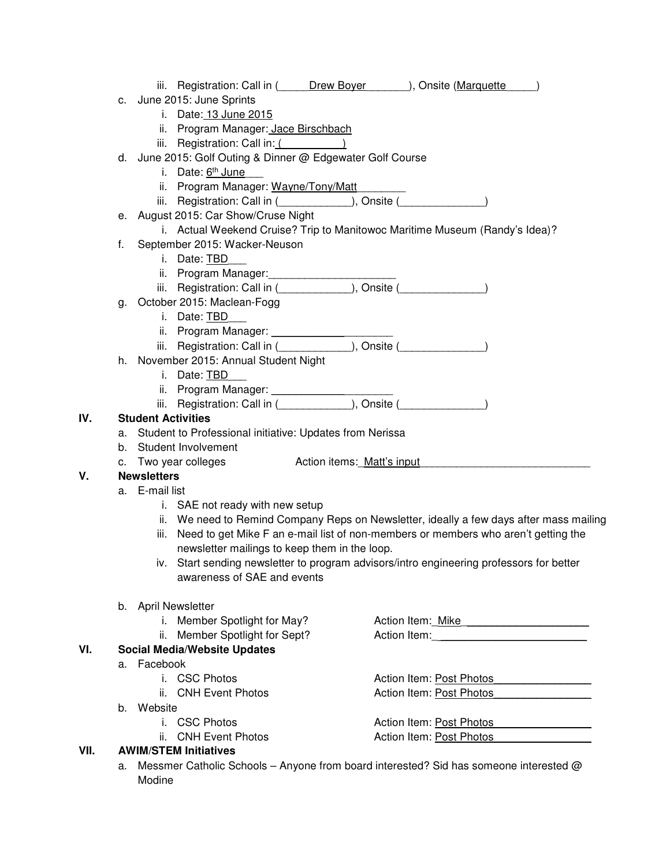|      |    |                                                                                                                         | c. June 2015: June Sprints                                                                                   |                            |                                                                                          |  |  |
|------|----|-------------------------------------------------------------------------------------------------------------------------|--------------------------------------------------------------------------------------------------------------|----------------------------|------------------------------------------------------------------------------------------|--|--|
|      |    |                                                                                                                         | i. Date: 13 June 2015                                                                                        |                            |                                                                                          |  |  |
|      |    |                                                                                                                         | ii. Program Manager: Jace Birschbach                                                                         |                            |                                                                                          |  |  |
|      |    |                                                                                                                         | iii. Registration: Call in: $($                                                                              |                            |                                                                                          |  |  |
|      |    |                                                                                                                         | d. June 2015: Golf Outing & Dinner @ Edgewater Golf Course                                                   |                            |                                                                                          |  |  |
|      |    |                                                                                                                         | i. Date: 6th June                                                                                            |                            |                                                                                          |  |  |
|      |    |                                                                                                                         |                                                                                                              |                            |                                                                                          |  |  |
|      |    |                                                                                                                         | ii. Program Manager: Wayne/Tony/Matt                                                                         |                            |                                                                                          |  |  |
|      |    |                                                                                                                         | iii. Registration: Call in ( ____________), Onsite ( _____________)                                          |                            |                                                                                          |  |  |
|      |    |                                                                                                                         | e. August 2015: Car Show/Cruse Night                                                                         |                            |                                                                                          |  |  |
|      |    |                                                                                                                         | i. Actual Weekend Cruise? Trip to Manitowoc Maritime Museum (Randy's Idea)?<br>September 2015: Wacker-Neuson |                            |                                                                                          |  |  |
|      | f. |                                                                                                                         |                                                                                                              |                            |                                                                                          |  |  |
|      |    |                                                                                                                         | i. Date: TBD                                                                                                 |                            |                                                                                          |  |  |
|      |    |                                                                                                                         | ii. Program Manager: 1999                                                                                    |                            |                                                                                          |  |  |
|      |    |                                                                                                                         | iii. Registration: Call in ( <i>_____________</i> ), Onsite ( <i>___________</i> )                           |                            |                                                                                          |  |  |
|      |    |                                                                                                                         | g. October 2015: Maclean-Fogg                                                                                |                            |                                                                                          |  |  |
|      |    |                                                                                                                         | i. Date: TBD                                                                                                 |                            |                                                                                          |  |  |
|      |    |                                                                                                                         |                                                                                                              |                            |                                                                                          |  |  |
|      |    |                                                                                                                         |                                                                                                              |                            |                                                                                          |  |  |
|      |    |                                                                                                                         | h. November 2015: Annual Student Night                                                                       |                            |                                                                                          |  |  |
|      |    |                                                                                                                         | i. Date: TBD                                                                                                 |                            |                                                                                          |  |  |
|      |    |                                                                                                                         |                                                                                                              |                            |                                                                                          |  |  |
|      |    |                                                                                                                         |                                                                                                              |                            |                                                                                          |  |  |
| IV.  |    | <b>Student Activities</b>                                                                                               |                                                                                                              |                            |                                                                                          |  |  |
|      | a. |                                                                                                                         | Student to Professional initiative: Updates from Nerissa                                                     |                            |                                                                                          |  |  |
|      |    |                                                                                                                         | b. Student Involvement                                                                                       |                            |                                                                                          |  |  |
|      | C. |                                                                                                                         | Two year colleges                                                                                            | Action items: Matt's input |                                                                                          |  |  |
| ٧.   |    | <b>Newsletters</b>                                                                                                      |                                                                                                              |                            |                                                                                          |  |  |
|      |    | a. E-mail list                                                                                                          |                                                                                                              |                            |                                                                                          |  |  |
|      |    |                                                                                                                         | i. SAE not ready with new setup                                                                              |                            |                                                                                          |  |  |
|      |    |                                                                                                                         |                                                                                                              |                            | ii. We need to Remind Company Reps on Newsletter, ideally a few days after mass mailing  |  |  |
|      |    |                                                                                                                         |                                                                                                              |                            | iii. Need to get Mike F an e-mail list of non-members or members who aren't getting the  |  |  |
|      |    |                                                                                                                         | newsletter mailings to keep them in the loop.                                                                |                            |                                                                                          |  |  |
|      |    |                                                                                                                         |                                                                                                              |                            | iv. Start sending newsletter to program advisors/intro engineering professors for better |  |  |
|      |    |                                                                                                                         | awareness of SAE and events                                                                                  |                            |                                                                                          |  |  |
|      |    |                                                                                                                         | b. April Newsletter                                                                                          |                            |                                                                                          |  |  |
|      |    |                                                                                                                         | i. Member Spotlight for May?                                                                                 |                            | Action Item: Mike                                                                        |  |  |
|      |    |                                                                                                                         | ii. Member Spotlight for Sept?                                                                               |                            |                                                                                          |  |  |
| VI.  |    |                                                                                                                         | <b>Social Media/Website Updates</b>                                                                          |                            |                                                                                          |  |  |
|      |    | a. Facebook                                                                                                             |                                                                                                              |                            |                                                                                          |  |  |
|      |    |                                                                                                                         | i. CSC Photos                                                                                                |                            | Action Item: Post Photos                                                                 |  |  |
|      |    |                                                                                                                         |                                                                                                              |                            |                                                                                          |  |  |
|      |    |                                                                                                                         | ii. CNH Event Photos                                                                                         |                            | Action Item: Post Photos                                                                 |  |  |
|      |    | b. Website                                                                                                              |                                                                                                              |                            |                                                                                          |  |  |
|      |    |                                                                                                                         | i. CSC Photos                                                                                                |                            | Action Item: Post Photos                                                                 |  |  |
|      |    |                                                                                                                         | ii. CNH Event Photos                                                                                         |                            | Action Item: Post Photos                                                                 |  |  |
| VII. |    | <b>AWIM/STEM Initiatives</b><br>Messmer Catholic Schools - Anyone from board interested? Sid has someone interested $@$ |                                                                                                              |                            |                                                                                          |  |  |
|      | а. |                                                                                                                         |                                                                                                              |                            |                                                                                          |  |  |
|      |    | Modine                                                                                                                  |                                                                                                              |                            |                                                                                          |  |  |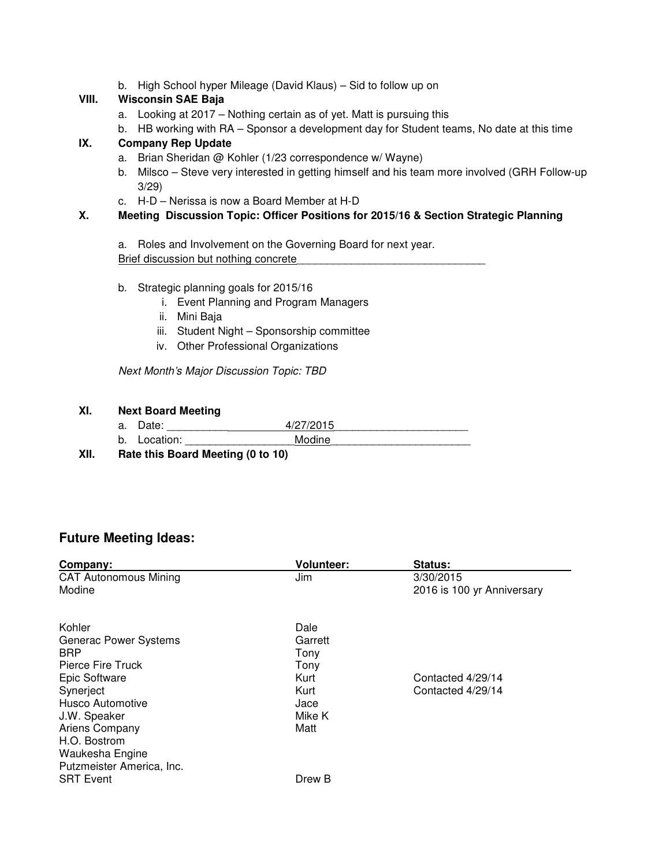b. High School hyper Mileage (David Klaus) – Sid to follow up on

## **VIII. Wisconsin SAE Baja**

- a. Looking at 2017 Nothing certain as of yet. Matt is pursuing this
- b. HB working with RA Sponsor a development day for Student teams, No date at this time

## **IX. Company Rep Update**

- a. Brian Sheridan @ Kohler (1/23 correspondence w/ Wayne)
- b. Milsco Steve very interested in getting himself and his team more involved (GRH Follow-up 3/29)
- c. H-D Nerissa is now a Board Member at H-D

#### **X. Meeting Discussion Topic: Officer Positions for 2015/16 & Section Strategic Planning**

a. Roles and Involvement on the Governing Board for next year. Brief discussion but nothing concrete

#### b. Strategic planning goals for 2015/16

- i. Event Planning and Program Managers
- ii. Mini Baja
- iii. Student Night Sponsorship committee
- iv. Other Professional Organizations

Next Month's Major Discussion Topic: TBD

#### **XI. Next Board Meeting**

| a. |           | $\sqrt{2}$    |
|----|-----------|---------------|
| b. | ⊥ocation: | <b>MOQINA</b> |

**XII. Rate this Board Meeting (0 to 10)** 

## **Future Meeting Ideas:**

| Company:                                                                                                                                                                                  | <b>Volunteer:</b>                                                         | Status:                                 |
|-------------------------------------------------------------------------------------------------------------------------------------------------------------------------------------------|---------------------------------------------------------------------------|-----------------------------------------|
| <b>CAT Autonomous Mining</b><br>Modine                                                                                                                                                    | Jim                                                                       | 3/30/2015<br>2016 is 100 yr Anniversary |
| Kohler<br>Generac Power Systems<br><b>BRP</b><br>Pierce Fire Truck<br>Epic Software<br>Synerject<br>Husco Automotive<br>J.W. Speaker<br>Ariens Company<br>H.O. Bostrom<br>Waukesha Engine | Dale<br>Garrett<br>Tony<br>Tony<br>Kurt<br>Kurt<br>Jace<br>Mike K<br>Matt | Contacted 4/29/14<br>Contacted 4/29/14  |
| Putzmeister America, Inc.<br><b>SRT Event</b>                                                                                                                                             | Drew B                                                                    |                                         |